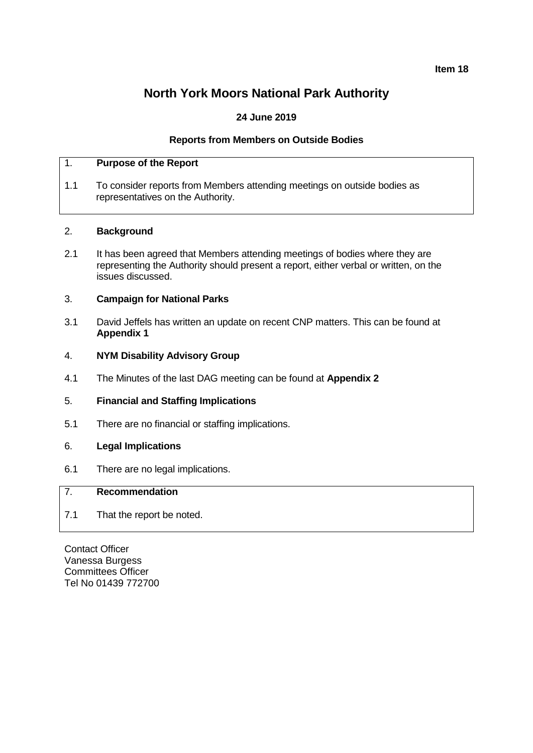**Item 18**

# **North York Moors National Park Authority**

# **24 June 2019**

## **Reports from Members on Outside Bodies**

# 1. **Purpose of the Report**

1.1 To consider reports from Members attending meetings on outside bodies as representatives on the Authority.

#### 2. **Background**

2.1 It has been agreed that Members attending meetings of bodies where they are representing the Authority should present a report, either verbal or written, on the issues discussed.

## 3. **Campaign for National Parks**

3.1 David Jeffels has written an update on recent CNP matters. This can be found at **Appendix 1**

#### 4. **NYM Disability Advisory Group**

4.1 The Minutes of the last DAG meeting can be found at **Appendix 2**

# 5. **Financial and Staffing Implications**

5.1 There are no financial or staffing implications.

#### 6. **Legal Implications**

6.1 There are no legal implications.

# 7. **Recommendation**

7.1 That the report be noted.

Contact Officer Vanessa Burgess Committees Officer Tel No 01439 772700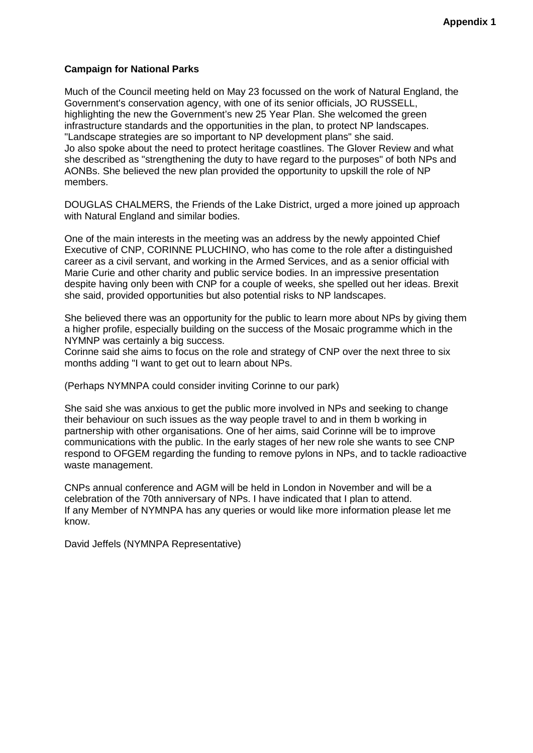# **Campaign for National Parks**

Much of the Council meeting held on May 23 focussed on the work of Natural England, the Government's conservation agency, with one of its senior officials, JO RUSSELL, highlighting the new the Government's new 25 Year Plan. She welcomed the green infrastructure standards and the opportunities in the plan, to protect NP landscapes. "Landscape strategies are so important to NP development plans" she said. Jo also spoke about the need to protect heritage coastlines. The Glover Review and what she described as "strengthening the duty to have regard to the purposes" of both NPs and AONBs. She believed the new plan provided the opportunity to upskill the role of NP members.

DOUGLAS CHALMERS, the Friends of the Lake District, urged a more joined up approach with Natural England and similar bodies.

One of the main interests in the meeting was an address by the newly appointed Chief Executive of CNP, CORINNE PLUCHINO, who has come to the role after a distinguished career as a civil servant, and working in the Armed Services, and as a senior official with Marie Curie and other charity and public service bodies. In an impressive presentation despite having only been with CNP for a couple of weeks, she spelled out her ideas. Brexit she said, provided opportunities but also potential risks to NP landscapes.

She believed there was an opportunity for the public to learn more about NPs by giving them a higher profile, especially building on the success of the Mosaic programme which in the NYMNP was certainly a big success.

Corinne said she aims to focus on the role and strategy of CNP over the next three to six months adding "I want to get out to learn about NPs.

(Perhaps NYMNPA could consider inviting Corinne to our park)

She said she was anxious to get the public more involved in NPs and seeking to change their behaviour on such issues as the way people travel to and in them b working in partnership with other organisations. One of her aims, said Corinne will be to improve communications with the public. In the early stages of her new role she wants to see CNP respond to OFGEM regarding the funding to remove pylons in NPs, and to tackle radioactive waste management.

CNPs annual conference and AGM will be held in London in November and will be a celebration of the 70th anniversary of NPs. I have indicated that I plan to attend. If any Member of NYMNPA has any queries or would like more information please let me know.

David Jeffels (NYMNPA Representative)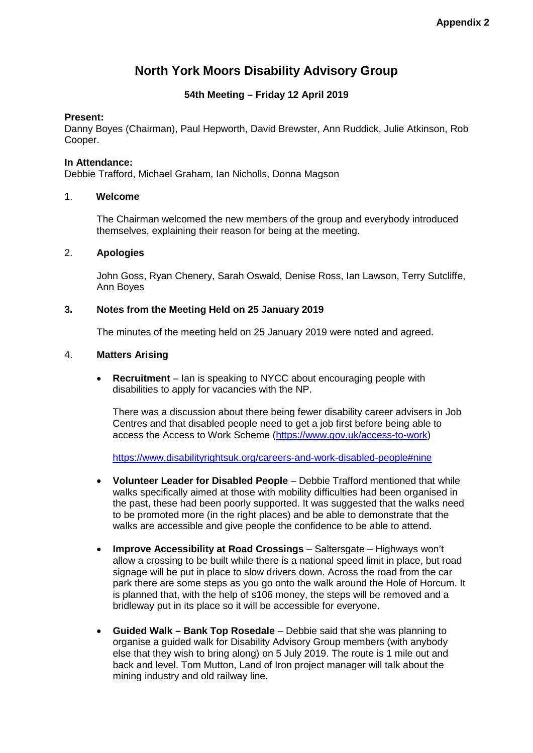# **North York Moors Disability Advisory Group**

# **54th Meeting – Friday 12 April 2019**

## **Present:**

Danny Boyes (Chairman), Paul Hepworth, David Brewster, Ann Ruddick, Julie Atkinson, Rob Cooper.

## **In Attendance:**

Debbie Trafford, Michael Graham, Ian Nicholls, Donna Magson

## 1. **Welcome**

The Chairman welcomed the new members of the group and everybody introduced themselves, explaining their reason for being at the meeting.

# 2. **Apologies**

John Goss, Ryan Chenery, Sarah Oswald, Denise Ross, Ian Lawson, Terry Sutcliffe, Ann Boyes

# **3. Notes from the Meeting Held on 25 January 2019**

The minutes of the meeting held on 25 January 2019 were noted and agreed.

## 4. **Matters Arising**

• **Recruitment** – Ian is speaking to NYCC about encouraging people with disabilities to apply for vacancies with the NP.

There was a discussion about there being fewer disability career advisers in Job Centres and that disabled people need to get a job first before being able to access the Access to Work Scheme [\(https://www.gov.uk/access-to-work\)](https://www.gov.uk/access-to-work)

<https://www.disabilityrightsuk.org/careers-and-work-disabled-people#nine>

- **Volunteer Leader for Disabled People** Debbie Trafford mentioned that while walks specifically aimed at those with mobility difficulties had been organised in the past, these had been poorly supported. It was suggested that the walks need to be promoted more (in the right places) and be able to demonstrate that the walks are accessible and give people the confidence to be able to attend.
- **Improve Accessibility at Road Crossings** Saltersgate Highways won't allow a crossing to be built while there is a national speed limit in place, but road signage will be put in place to slow drivers down. Across the road from the car park there are some steps as you go onto the walk around the Hole of Horcum. It is planned that, with the help of s106 money, the steps will be removed and a bridleway put in its place so it will be accessible for everyone.
- **Guided Walk – Bank Top Rosedale** Debbie said that she was planning to organise a guided walk for Disability Advisory Group members (with anybody else that they wish to bring along) on 5 July 2019. The route is 1 mile out and back and level. Tom Mutton, Land of Iron project manager will talk about the mining industry and old railway line.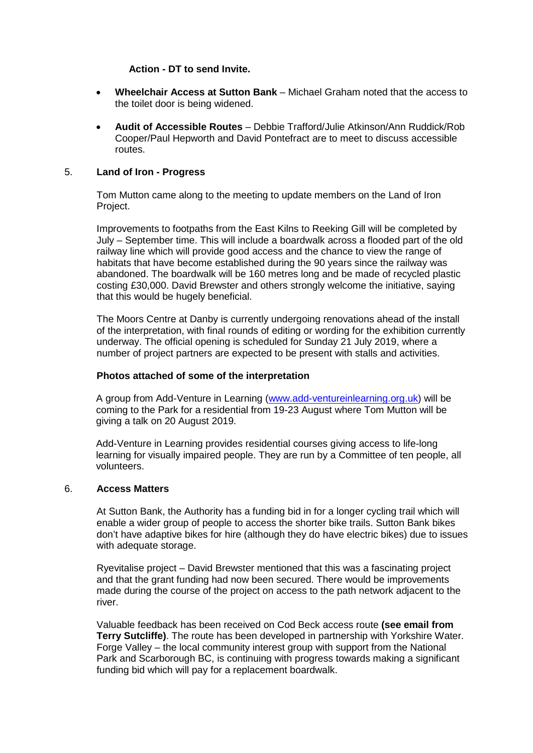#### **Action - DT to send Invite.**

- **Wheelchair Access at Sutton Bank** Michael Graham noted that the access to the toilet door is being widened.
- **Audit of Accessible Routes** Debbie Trafford/Julie Atkinson/Ann Ruddick/Rob Cooper/Paul Hepworth and David Pontefract are to meet to discuss accessible routes.

#### 5. **Land of Iron - Progress**

Tom Mutton came along to the meeting to update members on the Land of Iron Project.

Improvements to footpaths from the East Kilns to Reeking Gill will be completed by July – September time. This will include a boardwalk across a flooded part of the old railway line which will provide good access and the chance to view the range of habitats that have become established during the 90 years since the railway was abandoned. The boardwalk will be 160 metres long and be made of recycled plastic costing £30,000. David Brewster and others strongly welcome the initiative, saying that this would be hugely beneficial.

The Moors Centre at Danby is currently undergoing renovations ahead of the install of the interpretation, with final rounds of editing or wording for the exhibition currently underway. The official opening is scheduled for Sunday 21 July 2019, where a number of project partners are expected to be present with stalls and activities.

# **Photos attached of some of the interpretation**

A group from Add-Venture in Learning [\(www.add-ventureinlearning.org.uk\)](http://www.add-ventureinlearning.org.uk/) will be coming to the Park for a residential from 19-23 August where Tom Mutton will be giving a talk on 20 August 2019.

Add-Venture in Learning provides residential courses giving access to life-long learning for visually impaired people. They are run by a Committee of ten people, all volunteers.

#### 6. **Access Matters**

At Sutton Bank, the Authority has a funding bid in for a longer cycling trail which will enable a wider group of people to access the shorter bike trails. Sutton Bank bikes don't have adaptive bikes for hire (although they do have electric bikes) due to issues with adequate storage.

Ryevitalise project – David Brewster mentioned that this was a fascinating project and that the grant funding had now been secured. There would be improvements made during the course of the project on access to the path network adjacent to the river.

Valuable feedback has been received on Cod Beck access route **(see email from Terry Sutcliffe)**. The route has been developed in partnership with Yorkshire Water. Forge Valley – the local community interest group with support from the National Park and Scarborough BC, is continuing with progress towards making a significant funding bid which will pay for a replacement boardwalk.